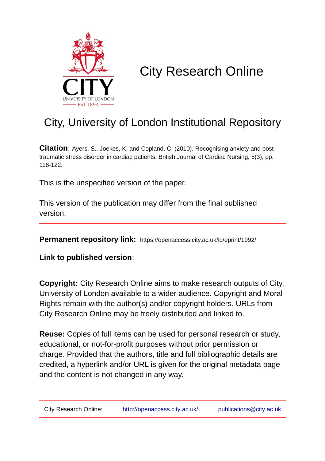

# City Research Online

# City, University of London Institutional Repository

**Citation**: Ayers, S., Joekes, K. and Copland, C. (2010). Recognising anxiety and posttraumatic stress disorder in cardiac patients. British Journal of Cardiac Nursing, 5(3), pp. 118-122.

This is the unspecified version of the paper.

This version of the publication may differ from the final published version.

**Permanent repository link:** https://openaccess.city.ac.uk/id/eprint/1992/

**Link to published version**:

**Copyright:** City Research Online aims to make research outputs of City, University of London available to a wider audience. Copyright and Moral Rights remain with the author(s) and/or copyright holders. URLs from City Research Online may be freely distributed and linked to.

**Reuse:** Copies of full items can be used for personal research or study, educational, or not-for-profit purposes without prior permission or charge. Provided that the authors, title and full bibliographic details are credited, a hyperlink and/or URL is given for the original metadata page and the content is not changed in any way.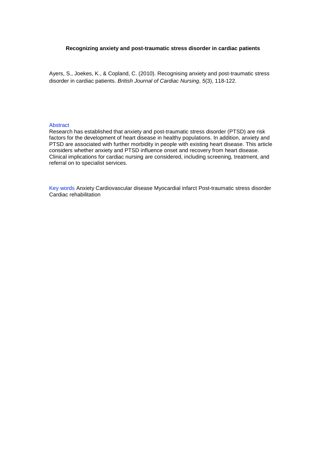# **Recognizing anxiety and post-traumatic stress disorder in cardiac patients**

Ayers, S., Joekes, K., & Copland, C. (2010). Recognising anxiety and post-traumatic stress disorder in cardiac patients. *British Journal of Cardiac Nursing*, *5*(3), 118-122.

#### Abstract

Research has established that anxiety and post-traumatic stress disorder (PTSD) are risk factors for the development of heart disease in healthy populations. In addition, anxiety and PTSD are associated with further morbidity in people with existing heart disease. This article considers whether anxiety and PTSD influence onset and recovery from heart disease. Clinical implications for cardiac nursing are considered, including screening, treatment, and referral on to specialist services.

Key words Anxiety Cardiovascular disease Myocardial infarct Post-traumatic stress disorder Cardiac rehabilitation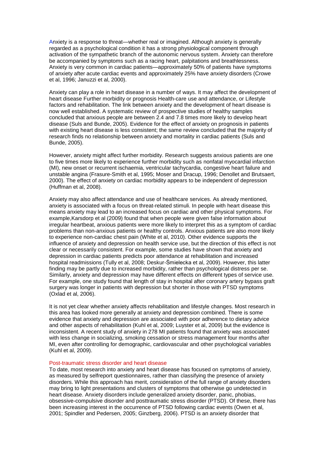Anxiety is a response to threat—whether real or imagined. Although anxiety is generally regarded as a psychological condition it has a strong physiological component through activation of the sympathetic branch of the autonomic nervous system. Anxiety can therefore be accompanied by symptoms such as a racing heart, palpitations and breathlessness. Anxiety is very common in cardiac patients—approximately 50% of patients have symptoms of anxiety after acute cardiac events and approximately 25% have anxiety disorders (Crowe et al, 1996; Januzzi et al, 2000).

Anxiety can play a role in heart disease in a number of ways. It may affect the development of heart disease Further morbidity or prognosis Health-care use and attendance, or Lifestyle factors and rehabilitation. The link between anxiety and the development of heart disease is now well established. A systematic review of prospective studies of healthy samples concluded that anxious people are between 2.4 and 7.8 times more likely to develop heart disease (Suls and Bunde, 2005). Evidence for the effect of anxiety on prognosis in patients with existing heart disease is less consistent; the same review concluded that the majority of research finds no relationship between anxiety and mortality in cardiac patients (Suls and Bunde, 2005).

However, anxiety might affect further morbidity. Research suggests anxious patients are one to five times more likely to experience further morbidity such as nonfatal myocardial infarction (MI), new onset or recurrent ischaemia, ventricular tachycardia, congestive heart failure and unstable angina (Frasure-Smith et al, 1995; Moser and Dracup, 1996; Denollet and Brutsaert, 2000). The effect of anxiety on cardiac morbidity appears to be independent of depression (Huffman et al, 2008).

Anxiety may also affect attendance and use of healthcare services. As already mentioned, anxiety is associated with a focus on threat-related stimuli. In people with heart disease this means anxiety may lead to an increased focus on cardiac and other physical symptoms. For example,Karsdorp et al (2009) found that when people were given false information about irregular heartbeat, anxious patients were more likely to interpret this as a symptom of cardiac problems than non-anxious patients or healthy controls. Anxious patients are also more likely to experience non-cardiac chest pain (White et al, 2010). Other evidence supports the influence of anxiety and depression on health service use, but the direction of this effect is not clear or necessarily consistent. For example, some studies have shown that anxiety and depression in cardiac patients predicts poor attendance at rehabilitation and increased hospital readmissions (Tully et al, 2008; Deskur-Śmielecka et al, 2009). However, this latter finding may be partly due to increased morbidity, rather than psychological distress per se. Similarly, anxiety and depression may have different effects on different types of service use. For example, one study found that length of stay in hospital after coronary artery bypass graft surgery was longer in patients with depression but shorter in those with PTSD symptoms (Oxlad et al, 2006).

It is not yet clear whether anxiety affects rehabilitation and lifestyle changes. Most research in this area has looked more generally at anxiety and depression combined. There is some evidence that anxiety and depression are associated with poor adherence to dietary advice and other aspects of rehabilitation (Kuhl et al, 2009; Luyster et al, 2009) but the evidence is inconsistent. A recent study of anxiety in 278 MI patients found that anxiety was associated with less change in socializing, smoking cessation or stress management four months after MI, even after controlling for demographic, cardiovascular and other psychological variables (Kuhl et al, 2009).

#### Post-traumatic stress disorder and heart disease

To date, most research into anxiety and heart disease has focused on symptoms of anxiety, as measured by selfreport questionnaires, rather than classifying the presence of anxiety disorders. While this approach has merit, consideration of the full range of anxiety disorders may bring to light presentations and clusters of symptoms that otherwise go undetected in heart disease. Anxiety disorders include generalized anxiety disorder, panic, phobias, obsessive-compulsive disorder and posttraumatic stress disorder (PTSD). Of these, there has been increasing interest in the occurrence of PTSD following cardiac events (Owen et al, 2001; Spindler and Pedersen, 2005; Ginzberg, 2006). PTSD is an anxiety disorder that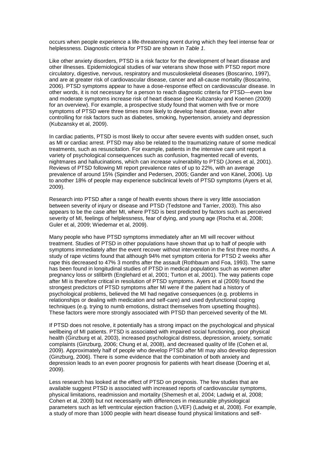occurs when people experience a life-threatening event during which they feel intense fear or helplessness. Diagnostic criteria for PTSD are shown in *Table 1*.

Like other anxiety disorders, PTSD is a risk factor for the development of heart disease and other illnesses. Epidemiological studies of war veterans show those with PTSD report more circulatory, digestive, nervous, respiratory and musculoskeletal diseases (Boscarino, 1997), and are at greater risk of cardiovascular disease, cancer and all-cause mortality (Boscarino, 2006). PTSD symptoms appear to have a dose-response effect on cardiovascular disease. In other words, it is not necessary for a person to reach diagnostic criteria for PTSD—even low and moderate symptoms increase risk of heart disease (see Kubzansky and Koenen (2009) for an overview). For example, a prospective study found that women with five or more symptoms of PTSD were three times more likely to develop heart disease, even after controlling for risk factors such as diabetes, smoking, hypertension, anxiety and depression (Kubzansky et al, 2009).

In cardiac patients, PTSD is most likely to occur after severe events with sudden onset, such as MI or cardiac arrest. PTSD may also be related to the traumatizing nature of some medical treatments, such as resuscitation. For example, patients in the intensive care unit report a variety of psychological consequences such as confusion, fragmented recall of events, nightmares and hallucinations, which can increase vulnerability to PTSD (Jones et al, 2001). Reviews of PTSD following MI report prevalence rates of up to 22%, with an average prevalence of around 15% (Spindler and Pedersen, 2005; Gander and von Känel, 2006). Up to another 18% of people may experience subclinical levels of PTSD symptoms (Ayers et al, 2009).

Research into PTSD after a range of health events shows there is very little association between severity of injury or disease and PTSD (Tedstone and Tarrier, 2003). This also appears to be the case after MI, where PTSD is best predicted by factors such as perceived severity of MI, feelings of helplessness, fear of dying, and young age (Rocha et al, 2008; Guler et al, 2009; Wiedemar et al, 2009).

Many people who have PTSD symptoms immediately after an MI will recover without treatment. Studies of PTSD in other populations have shown that up to half of people with symptoms immediately after the event recover without intervention in the first three months. A study of rape victims found that although 94% met symptom criteria for PTSD 2 weeks after rape this decreased to 47% 3 months after the assault (Rothbaum and Foa, 1993). The same has been found in longitudinal studies of PTSD in medical populations such as women after pregnancy loss or stillbirth (Englehard et al, 2001; Turton et al, 2001). The way patients cope after MI is therefore critical in resolution of PTSD symptoms. Ayers et al (2009) found the strongest predictors of PTSD symptoms after MI were if the patient had a history of psychological problems, believed the MI had negative consequences (e.g. problems in relationships or dealing with medication and self-care) and used dysfunctional coping techniques (e.g. trying to numb emotions, distract themselves from upsetting thoughts). These factors were more strongly associated with PTSD than perceived severity of the MI.

If PTSD does not resolve, it potentially has a strong impact on the psychological and physical wellbeing of MI patients. PTSD is associated with impaired social functioning, poor physical health (Ginzburg et al, 2003), increased psychological distress, depression, anxiety, somatic complaints (Ginzburg, 2006; Chung et al, 2008), and decreased quality of life (Cohen et al, 2009). Approximately half of people who develop PTSD after MI may also develop depression (Ginzburg, 2006). There is some evidence that the combination of both anxiety and depression leads to an even poorer prognosis for patients with heart disease (Doering et al, 2009).

Less research has looked at the effect of PTSD on prognosis. The few studies that are available suggest PTSD is associated with increased reports of cardiovascular symptoms, physical limitations, readmission and mortality (Shemesh et al, 2004; Ladwig et al, 2008; Cohen et al, 2009) but not necessarily with differences in measurable physiological parameters such as left ventricular ejection fraction (LVEF) (Ladwig et al, 2008). For example, a study of more than 1000 people with heart disease found physical limitations and self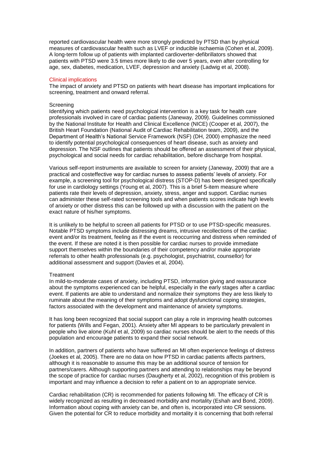reported cardiovascular health were more strongly predicted by PTSD than by physical measures of cardiovascular health such as LVEF or inducible ischaemia (Cohen et al, 2009). A long-term follow up of patients with implanted cardioverter-defibrillators showed that patients with PTSD were 3.5 times more likely to die over 5 years, even after controlling for age, sex, diabetes, medication, LVEF, depression and anxiety (Ladwig et al, 2008).

#### Clinical implications

The impact of anxiety and PTSD on patients with heart disease has important implications for screening, treatment and onward referral.

#### Screening

Identifying which patients need psychological intervention is a key task for health care professionals involved in care of cardiac patients (Janeway, 2009). Guidelines commissioned by the National Institute for Health and Clinical Excellence (NICE) (Cooper et al, 2007), the British Heart Foundation (National Audit of Cardiac Rehabilitation team, 2009), and the Department of Health's National Service Framework (NSF) (DH, 2000) emphasize the need to identify potential psychological consequences of heart disease, such as anxiety and depression. The NSF outlines that patients should be offered an assessment of their physical, psychological and social needs for cardiac rehabilitation, before discharge from hospital.

Various self-report instruments are available to screen for anxiety (Janeway, 2009) that are a practical and costeffective way for cardiac nurses to assess patients' levels of anxiety. For example, a screening tool for psychological distress (STOP-D) has been designed specifically for use in cardiology settings (Young et al, 2007). This is a brief 5-item measure where patients rate their levels of depression, anxiety, stress, anger and support. Cardiac nurses can administer these self-rated screening tools and when patients scores indicate high levels of anxiety or other distress this can be followed up with a discussion with the patient on the exact nature of his/her symptoms.

It is unlikely to be helpful to screen all patients for PTSD or to use PTSD-specific measures. Notable PTSD symptoms include distressing dreams, intrusive recollections of the cardiac event and/or its treatment, feeling as if the event is reoccurring and distress when reminded of the event. If these are noted it is then possible for cardiac nurses to provide immediate support themselves within the boundaries of their competency and/or make appropriate referrals to other health professionals (e.g. psychologist, psychiatrist, counsellor) for additional assessment and support (Davies et al, 2004).

#### **Treatment**

In mild-to-moderate cases of anxiety, including PTSD, information giving and reassurance about the symptoms experienced can be helpful, especially in the early stages after a cardiac event. If patients are able to understand and normalize their symptoms they are less likely to ruminate about the meaning of their symptoms and adopt dysfunctional coping strategies, factors associated with the development and maintenance of anxiety symptoms.

It has long been recognized that social support can play a role in improving health outcomes for patients (Wills and Fegan, 2001). Anxiety after MI appears to be particularly prevalent in people who live alone (Kuhl et al, 2009) so cardiac nurses should be alert to the needs of this population and encourage patients to expand their social network.

In addition, partners of patients who have suffered an MI often experience feelings of distress (Joekes et al, 2005). There are no data on how PTSD in cardiac patients affects partners, although it is reasonable to assume this may be an additional source of tension for partners/carers. Although supporting partners and attending to relationships may be beyond the scope of practice for cardiac nurses (Daugherty et al, 2002), recognition of this problem is important and may influence a decision to refer a patient on to an appropriate service.

Cardiac rehabilitation (CR) is recommended for patients following MI. The efficacy of CR is widely recognized as resulting in decreased morbidity and mortality (Eshah and Bond, 2009). Information about coping with anxiety can be, and often is, incorporated into CR sessions. Given the potential for CR to reduce morbidity and mortality it is concerning that both referral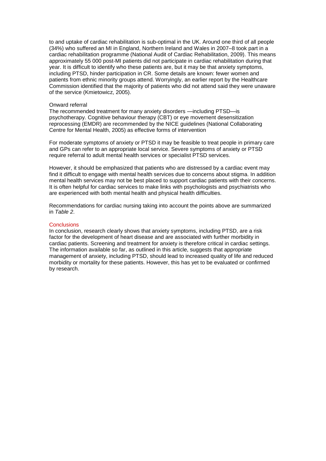to and uptake of cardiac rehabilitation is sub-optimal in the UK. Around one third of all people (34%) who suffered an MI in England, Northern Ireland and Wales in 2007–8 took part in a cardiac rehabilitation programme (National Audit of Cardiac Rehabilitation, 2009). This means approximately 55 000 post-MI patients did not participate in cardiac rehabilitation during that year. It is difficult to identify who these patients are, but it may be that anxiety symptoms, including PTSD, hinder participation in CR. Some details are known: fewer women and patients from ethnic minority groups attend. Worryingly, an earlier report by the Healthcare Commission identified that the majority of patients who did not attend said they were unaware of the service (Kmietowicz, 2005).

### Onward referral

The recommended treatment for many anxiety disorders —including PTSD—is psychotherapy. Cognitive behaviour therapy (CBT) or eye movement desensitization reprocessing (EMDR) are recommended by the NICE guidelines (National Collaborating Centre for Mental Health, 2005) as effective forms of intervention

For moderate symptoms of anxiety or PTSD it may be feasible to treat people in primary care and GPs can refer to an appropriate local service. Severe symptoms of anxiety or PTSD require referral to adult mental health services or specialist PTSD services.

However, it should be emphasized that patients who are distressed by a cardiac event may find it difficult to engage with mental health services due to concerns about stigma. In addition mental health services may not be best placed to support cardiac patients with their concerns. It is often helpful for cardiac services to make links with psychologists and psychiatrists who are experienced with both mental health and physical health difficulties.

Recommendations for cardiac nursing taking into account the points above are summarized in *Table 2*.

## **Conclusions**

In conclusion, research clearly shows that anxiety symptoms, including PTSD, are a risk factor for the development of heart disease and are associated with further morbidity in cardiac patients. Screening and treatment for anxiety is therefore critical in cardiac settings. The information available so far, as outlined in this article, suggests that appropriate management of anxiety, including PTSD, should lead to increased quality of life and reduced morbidity or mortality for these patients. However, this has yet to be evaluated or confirmed by research.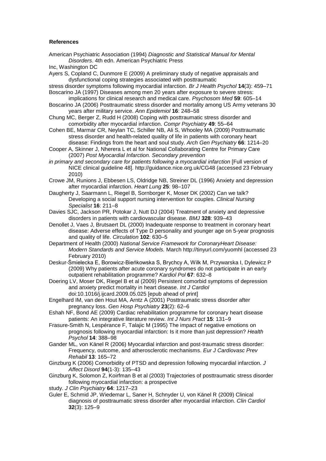#### **References**

American Psychiatric Association (1994) *Diagnostic and Statistical Manual for Mental Disorders*. 4th edn. American Psychiatric Press

Inc, Washington DC

Ayers S, Copland C, Dunmore E (2009) A preliminary study of negative appraisals and dysfunctional coping strategies associated with posttraumatic

stress disorder symptoms following myocardial infarction. *Br J Health Psychol* **14**(3): 459–71 Boscarino JA (1997) Diseases among men 20 years after exposure to severe stress:

- implications for clinical research and medical care. *Psychosom Med* **59**: 605–14 Boscarino JA (2006) Posttraumatic stress disorder and mortality among US Army veterans 30 years after military service. *Ann Epidemiol* **16**: 248–58
- Chung MC, Berger Z, Rudd H (2008) Coping with posttraumatic stress disorder and comorbidity after myocardial infarction. *Compr Psychiatry* **49**: 55–64

Cohen BE, Marmar CR, Neylan TC, Schiller NB, Ali S, Whooley MA (2009) Posttraumatic stress disorder and health-related quality of life in patients with coronary heart disease: Findings from the heart and soul study. *Arch Gen Psychiatry* **66**: 1214–20

Cooper A, Skinner J, Nherera L et al for National Collaborating Centre for Primary Care (2007) *Post Myocardial Infarction. Secondary prevention*

*in primary and secondary care for patients following a myocardial infarction* [Full version of NICE clinical guideline 48]. http://guidance.nice.org.uk/CG48 (accessed 23 February 2010)

Crowe JM, Runions J, Ebbesen LS, Oldridge NB, Streiner DL (1996) Anxiety and depression after myocardial infarction. *Heart Lung* **25**: 98–107

Daugherty J, Saarmann L, Riegel B, Sornborger K, Moser DK (2002) Can we talk? Developing a social support nursing intervention for couples. *Clinical Nursing Specialist* **16**: 211–8

Davies SJC, Jackson PR, Potokar J, Nutt DJ (2004) Treatment of anxiety and depressive disorders in patients with cardiovascular disease. *BMJ* **328**: 939–43

Denollet J, Vaes J, Brutsaert DL (2000) Inadequate response to treatment in coronary heart disease: Adverse effects of Type D personality and younger age on 5-year prognosis and quality of life. *Circulation* **102**: 630–5

Department of Health (2000) *National Service Framework for CoronaryHeart Disease: Modern Standards and Service Models.* March http://tinyurl.com/yuomhl (accessed 23 February 2010)

Deskur-Śmielecka E, Borowicz-Bieńkowska S, Brychcy A, Wilk M, Przywarska I, Dylewicz P (2009) Why patients after acute coronary syndromes do not participate in an early outpatient rehabilitation programme? *Kardiol Pol* **67**: 632–8

Doering LV, Moser DK, Riegel B et al (2009) Persistent comorbid symptoms of depression and anxiety predict mortality in heart disease. *Int J Cardiol*  doi:10.1016/j.ijcard.2009.05.025 [epub ahead of print]

Engelhard IM, van den Hout MA, Arntz A (2001) Posttraumatic stress disorder after pregnancy loss. *Gen Hosp Psychiatry* **23**(2): 62–6

Eshah NF, Bond AE (2009) Cardiac rehabilitation programme for coronary heart disease patients: An integrative literature review. *Int J Nurs Pract* **15**: 131–9

Frasure-Smith N, Lespérance F, Talajic M (1995) The impact of negative emotions on prognosis following myocardial infarction: Is it more than just depression? *Health Psychol* **14**: 388–98

Gander ML, von Känel R (2006) Myocardial infarction and post-traumatic stress disorder: Frequency, outcome, and atherosclerotic mechanisms. *Eur J Cardiovasc Prev Rehabil* **13**: 165–72

Ginzburg K (2006) Comorbidity of PTSD and depression following myocardial infarction. *J Affect Disord* **94**(1-3): 135–43

Ginzburg K, Solomon Z, Koirfman B et al (2003) Trajectories of posttraumatic stress disorder following myocardial infarction: a prospective

study. *J Clin Psychiatry* **64**: 1217–23

Guler E, Schmid JP, Wiedemar L, Saner H, Schnyder U, von Känel R (2009) Clinical diagnosis of posttraumatic stress disorder after myocardial infarction. *Clin Cardiol*  **32**(3): 125–9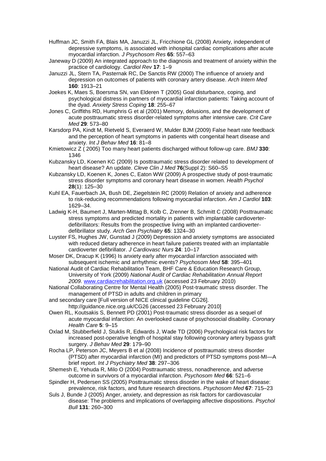- Huffman JC, Smith FA, Blais MA, Januzzi JL, Fricchione GL (2008) Anxiety, independent of depressive symptoms, is associated with inhospital cardiac complications after acute myocardial infarction. *J Psychosom Res* **65**: 557–63
- Janeway D (2009) An integrated approach to the diagnosis and treatment of anxiety within the practice of cardiology. *Cardiol Rev* **17**: 1–9
- Januzzi JL, Stern TA, Pasternak RC, De Sanctis RW (2000) The influence of anxiety and depression on outcomes of patients with coronary artery disease. *Arch Intern Med*  **160**: 1913–21
- Joekes K, Maes S, Boersma SN, van Elderen T (2005) Goal disturbance, coping, and psychological distress in partners of myocardial infarction patients: Taking account of the dyad. *Anxiety Stress Coping* **18**: 255–67
- Jones C, Griffiths RD, Humphris G et al (2001) Memory, delusions, and the development of acute posttraumatic stress disorder-related symptoms after intensive care. *Crit Care Med* **29**: 573–80
- Karsdorp PA, Kindt M, Rietveld S, Everaerd W, Mulder BJM (2009) False heart rate feedback and the perception of heart symptoms in patients with congenital heart disease and anxiety. *Int J Behav Med* **16**: 81–8
- Kmietowicz Z ( 2005) Too many heart patients discharged without follow-up care. *BMJ* **330**: 1346
- Kubzansky LD, Koenen KC (2009) Is posttraumatic stress disorder related to development of heart disease? An update. *Cleve Clin J Med* **76**(Suppl 2): S60–S5
- Kubzansky LD, Koenen K, Jones C, Eaton WW (2009) A prospective study of post-traumatic stress disorder symptoms and coronary heart disease in women. *Health Psychol*  **28**(1): 125–30
- Kuhl EA, Fauerbach JA, Bush DE, Ziegelstein RC (2009) Relation of anxiety and adherence to risk-reducing recommendations following myocardial infarction. *Am J Cardiol* **103**: 1629–34.
- Ladwig K-H, Baumert J, Marten-Mittag B, Kolb C, Zrenner B, Schmitt C (2008) Posttraumatic stress symptoms and predicted mortality in patients with implantable cardioverterdefibrillators: Results from the prospective living with an implanted cardioverterdefibrillator study. *Arch Gen Psychiatry* **65**: 1324–30
- Luyster FS, Hughes JW, Gunstad J (2009) Depression and anxiety symptoms are associated with reduced dietary adherence in heart failure patients treated with an implantable cardioverter defibrillator. *J Cardiovasc Nurs* **24**: 10–17
- Moser DK, Dracup K (1996) Is anxiety early after myocardial infarction associated with subsequent ischemic and arrhythmic events? *Psychosom Med* **58**: 395–401
- National Audit of Cardiac Rehabilitation Team, BHF Care & Education Research Group, University of York (2009) *National Audit of Cardiac Rehabilitation Annual Report 2009.* [www.cardiacrehabilitation.org.uk](http://www.cardiacrehabilitation.org.uk/) (accessed 23 February 2010)
- National Collaborating Centre for Mental Health (2005) Post-traumatic stress disorder. The management of PTSD in adults and children in primary
- and secondary care [Full version of NICE clinical guideline CG26]. http://guidance.nice.org.uk/CG26 (accessed 23 February 2010]
- Owen RL, Koutsakis S, Bennett PD (2001) Post-traumatic stress disorder as a sequel of acute myocardial infarction: An overlooked cause of psychosocial disability. *Coronary Health Care* **5**: 9–15
- Oxlad M, Stubberfield J, Stuklis R, Edwards J, Wade TD (2006) Psychological risk factors for increased post-operative length of hospital stay following coronary artery bypass graft surgery. *J Behav Med* **29**: 179–90
- Rocha LP, Peterson JC, Meyers B et al (2008) Incidence of posttraumatic stress disorder (PTSD) after myocardial infarction (MI) and predictors of PTSD symptoms post-MI—A brief report. *Int J Psychiatry Med* **38**: 297–306
- Shemesh E, Yehuda R, Milo O (2004) Posttraumatic stress, nonadherence, and adverse outcome in survivors of a myocardial infarction. *Psychosom Med* **66**: 521–6
- Spindler H, Pedersen SS (2005) Posttraumatic stress disorder in the wake of heart disease: prevalence, risk factors, and future research directions. *Psychosom Med* **67**: 715–23
- Suls J, Bunde J (2005) Anger, anxiety, and depression as risk factors for cardiovascular disease: The problems and implications of overlapping affective dispositions. *Psychol Bull* **131**: 260–300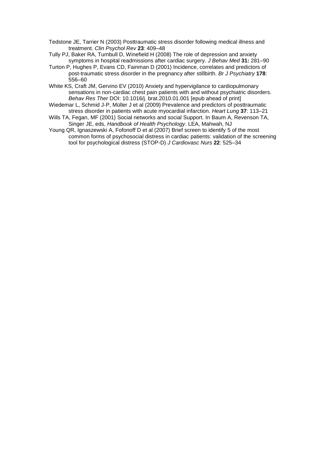- Tedstone JE, Tarrier N (2003) Posttraumatic stress disorder following medical illness and treatment. *Clin Psychol Rev* **23**: 409–48
- Tully PJ, Baker RA, Turnbull D, Winefield H (2008) The role of depression and anxiety symptoms in hospital readmissions after cardiac surgery. *J Behav Med* **31:** 281–90
- Turton P, Hughes P, Evans CD, Fainman D (2001) Incidence, correlates and predictors of post-traumatic stress disorder in the pregnancy after stillbirth. *Br J Psychiatry* **178**: 556–60
- White KS, Craft JM, Gervino EV (2010) Anxiety and hypervigilance to cardiopulmonary sensations in non-cardiac chest pain patients with and without psychiatric disorders. *Behav Res Ther* DOI: 10.1016/j. brat.2010.01.001 [epub ahead of print]
- Wiedemar L, Schmid J-P, Müller J et al (2009) Prevalence and predictors of posttraumatic stress disorder in patients with acute myocardial infarction. *Heart Lung* **37**: 113–21
- Wills TA, Fegan, MF (2001) Social networks and social Support. In Baum A, Revenson TA, Singer JE, eds, *Handbook of Health Psychology*. LEA, Mahwah, NJ
- Young QR, Ignaszewski A, Fofonoff D et al (2007) Brief screen to identify 5 of the most common forms of psychosocial distress in cardiac patients: validation of the screening tool for psychological distress (STOP-D) *J Cardiovasc Nurs* **22**: 525–34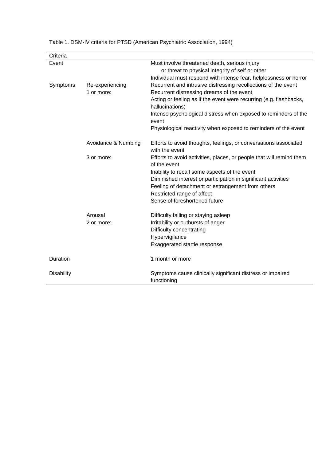| Criteria          |                     |                                                                                       |
|-------------------|---------------------|---------------------------------------------------------------------------------------|
| Event             |                     | Must involve threatened death, serious injury                                         |
|                   |                     | or threat to physical integrity of self or other                                      |
|                   |                     | Individual must respond with intense fear, helplessness or horror                     |
| Symptoms          | Re-experiencing     | Recurrent and intrusive distressing recollections of the event                        |
|                   | 1 or more:          | Recurrent distressing dreams of the event                                             |
|                   |                     | Acting or feeling as if the event were recurring (e.g. flashbacks,<br>hallucinations) |
|                   |                     | Intense psychological distress when exposed to reminders of the<br>event              |
|                   |                     | Physiological reactivity when exposed to reminders of the event                       |
|                   | Avoidance & Numbing | Efforts to avoid thoughts, feelings, or conversations associated<br>with the event    |
|                   | 3 or more:          | Efforts to avoid activities, places, or people that will remind them<br>of the event  |
|                   |                     | Inability to recall some aspects of the event                                         |
|                   |                     | Diminished interest or participation in significant activities                        |
|                   |                     | Feeling of detachment or estrangement from others                                     |
|                   |                     | Restricted range of affect                                                            |
|                   |                     | Sense of foreshortened future                                                         |
|                   | Arousal             | Difficulty falling or staying asleep                                                  |
|                   | 2 or more:          | Irritability or outbursts of anger                                                    |
|                   |                     | Difficulty concentrating                                                              |
|                   |                     | Hypervigilance                                                                        |
|                   |                     | Exaggerated startle response                                                          |
| Duration          |                     | 1 month or more                                                                       |
| <b>Disability</b> |                     | Symptoms cause clinically significant distress or impaired<br>functioning             |

Table 1. DSM-IV criteria for PTSD (American Psychiatric Association, 1994)